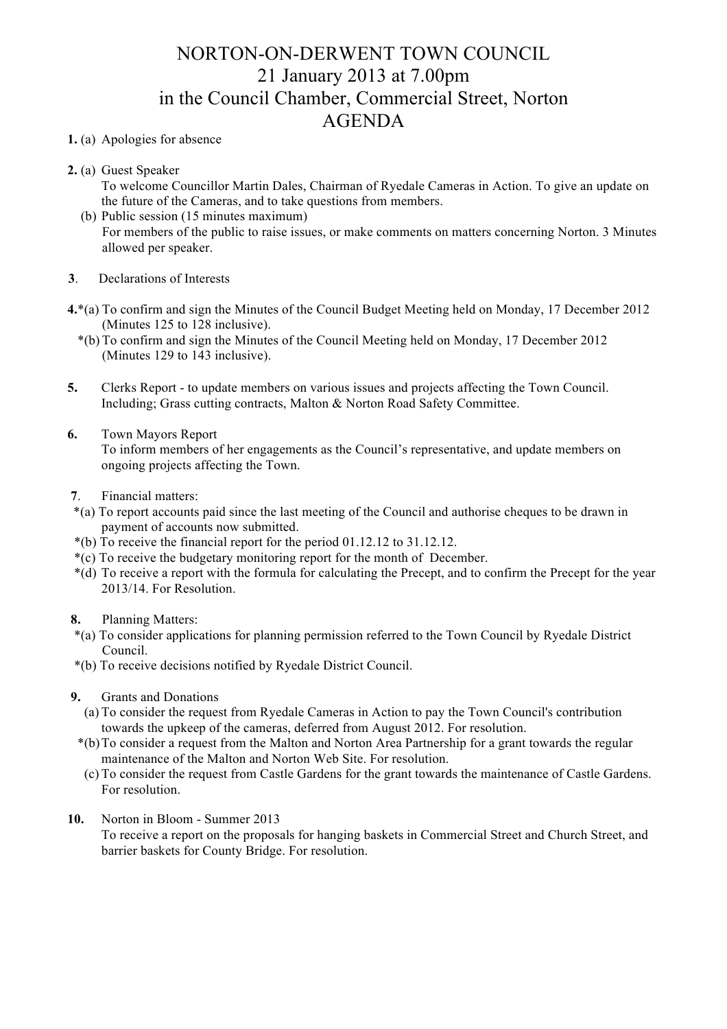## NORTON-ON-DERWENT TOWN COUNCIL 21 January 2013 at 7.00pm in the Council Chamber, Commercial Street, Norton AGENDA

## **1.** (a) Apologies for absence

- **2.** (a) Guest Speaker
	- To welcome Councillor Martin Dales, Chairman of Ryedale Cameras in Action. To give an update on the future of the Cameras, and to take questions from members.
	- (b) Public session (15 minutes maximum) For members of the public to raise issues, or make comments on matters concerning Norton. 3 Minutes allowed per speaker.
- **3**. Declarations of Interests
- **4.**\*(a) To confirm and sign the Minutes of the Council Budget Meeting held on Monday, 17 December 2012 (Minutes 125 to 128 inclusive).
	- \*(b) To confirm and sign the Minutes of the Council Meeting held on Monday, 17 December 2012 (Minutes 129 to 143 inclusive).
- **5.** Clerks Report to update members on various issues and projects affecting the Town Council. Including; Grass cutting contracts, Malton & Norton Road Safety Committee.
- **6.** Town Mayors Report To inform members of her engagements as the Council's representative, and update members on ongoing projects affecting the Town.
- **7**. Financial matters:
- \*(a) To report accounts paid since the last meeting of the Council and authorise cheques to be drawn in payment of accounts now submitted.
- \*(b) To receive the financial report for the period 01.12.12 to 31.12.12.
- \*(c) To receive the budgetary monitoring report for the month of December.
- \*(d) To receive a report with the formula for calculating the Precept, and to confirm the Precept for the year 2013/14. For Resolution.

## **8.** Planning Matters:

- \*(a) To consider applications for planning permission referred to the Town Council by Ryedale District Council.
- \*(b) To receive decisions notified by Ryedale District Council.
- **9.** Grants and Donations
	- (a) To consider the request from Ryedale Cameras in Action to pay the Town Council's contribution towards the upkeep of the cameras, deferred from August 2012. For resolution.
	- \*(b)To consider a request from the Malton and Norton Area Partnership for a grant towards the regular maintenance of the Malton and Norton Web Site. For resolution.
	- (c) To consider the request from Castle Gardens for the grant towards the maintenance of Castle Gardens. For resolution.
- **10.** Norton in Bloom Summer 2013
	- To receive a report on the proposals for hanging baskets in Commercial Street and Church Street, and barrier baskets for County Bridge. For resolution.